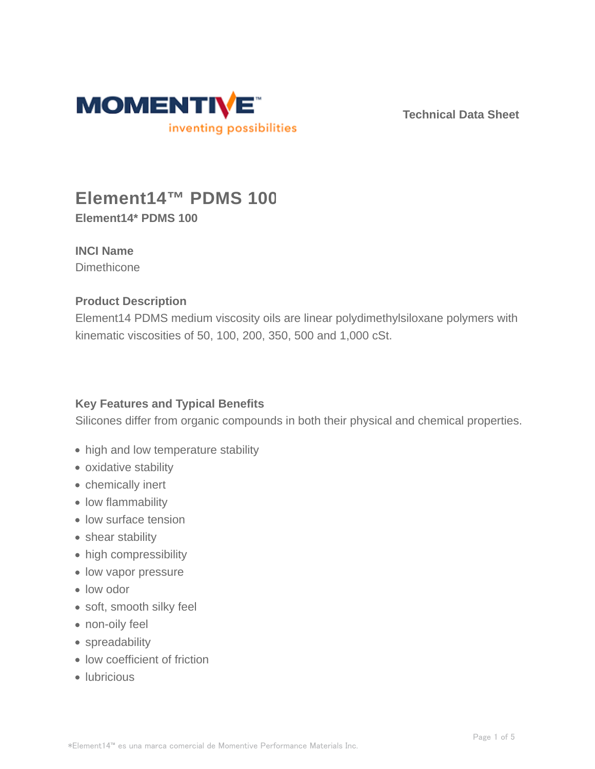

**Technical Data Sheet**

# **Element14™ PDMS 100**

**Element14\* PDMS 100**

# **INCI Name**

**Dimethicone** 

## **Product Description**

Element14 PDMS medium viscosity oils are linear polydimethylsiloxane polymers with kinematic viscosities of 50, 100, 200, 350, 500 and 1,000 cSt.

# **Key Features and Typical Benefits**

Silicones differ from organic compounds in both their physical and chemical properties.

- high and low temperature stability
- oxidative stability
- chemically inert
- low flammability
- low surface tension
- shear stability
- high compressibility
- low vapor pressure
- low odor
- soft, smooth silky feel
- non-oily feel
- spreadability
- low coefficient of friction
- lubricious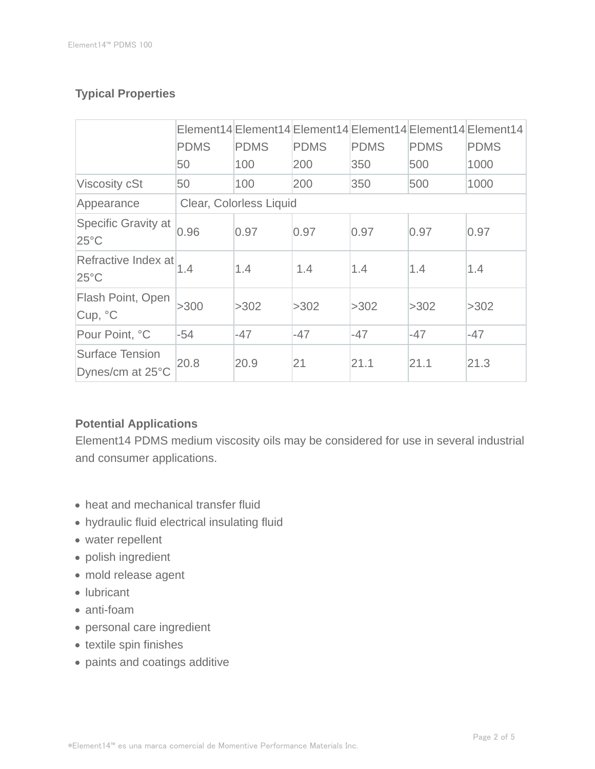# **Typical Properties**

|                                            | <b>PDMS</b>             | <b>PDMS</b> | <b>PDMS</b> | <b>PDMS</b> | <b>PDMS</b> | Element14 Element14 Element14 Element14 Element14 Element14<br><b>PDMS</b> |
|--------------------------------------------|-------------------------|-------------|-------------|-------------|-------------|----------------------------------------------------------------------------|
|                                            | 50                      | 100         | 200         | 350         | 500         | 1000                                                                       |
| <b>Viscosity cSt</b>                       | 50                      | 100         | 200         | 350         | 500         | 1000                                                                       |
| Appearance                                 | Clear, Colorless Liquid |             |             |             |             |                                                                            |
| Specific Gravity at<br>$25^{\circ}$ C      | 0.96                    | 0.97        | 0.97        | 0.97        | 0.97        | 0.97                                                                       |
| Refractive Index at<br>$25^{\circ}$ C      | 1.4                     | 1.4         | 1.4         | 1.4         | 1.4         | 1.4                                                                        |
| Flash Point, Open<br>Cup, °C               | >300                    | >302        | >302        | >302        | >302        | >302                                                                       |
| Pour Point, °C                             | $-54$                   | $-47$       | $-47$       | -47         | $-47$       | $-47$                                                                      |
| <b>Surface Tension</b><br>Dynes/cm at 25°C | 20.8                    | 20.9        | 21          | 21.1        | 21.1        | 21.3                                                                       |

### **Potential Applications**

Element14 PDMS medium viscosity oils may be considered for use in several industrial and consumer applications.

- heat and mechanical transfer fluid
- hydraulic fluid electrical insulating fluid
- water repellent
- polish ingredient
- mold release agent
- lubricant
- anti-foam
- personal care ingredient
- textile spin finishes
- paints and coatings additive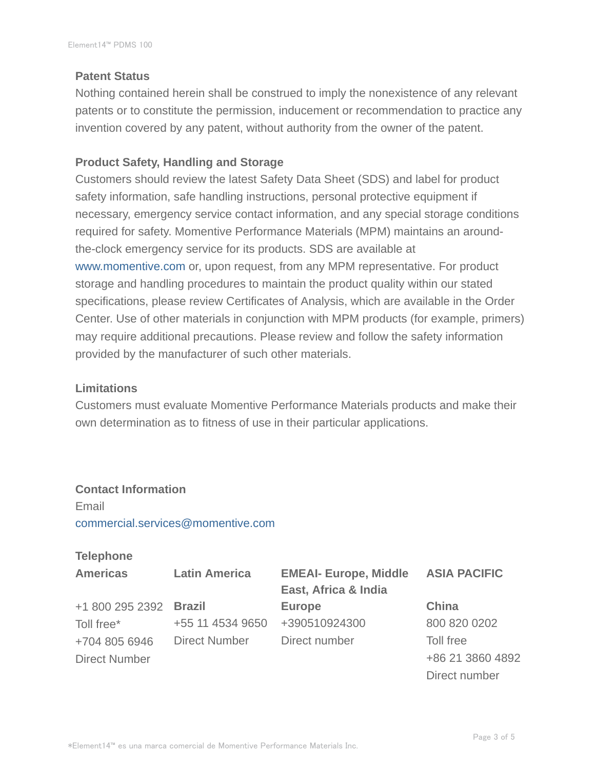#### **Patent Status**

Nothing contained herein shall be construed to imply the nonexistence of any relevant patents or to constitute the permission, inducement or recommendation to practice any invention covered by any patent, without authority from the owner of the patent.

#### **Product Safety, Handling and Storage**

Customers should review the latest Safety Data Sheet (SDS) and label for product safety information, safe handling instructions, personal protective equipment if necessary, emergency service contact information, and any special storage conditions required for safety. Momentive Performance Materials (MPM) maintains an aroundthe-clock emergency service for its products. SDS are available at www.momentive.com or, upon request, from any MPM representative. For product storage and handling procedures to maintain the product quality within our stated specifications, please review Certificates of Analysis, which are available in the Order Center. Use of other materials in conjunction with MPM products (for example, primers) may require additional precautions. Please review and follow the safety information provided by the manufacturer of such other materials.

#### **Limitations**

Customers must evaluate Momentive Performance Materials products and make their own determination as to fitness of use in their particular applications.

# **Contact Information**

Email commercial.services@momentive.com

#### **Telephone**

| <b>Americas</b>        | <b>Latin America</b> | <b>EMEAI- Europe, Middle</b> | <b>ASIA PACIFIC</b> |  |
|------------------------|----------------------|------------------------------|---------------------|--|
|                        |                      | East, Africa & India         |                     |  |
| +1 800 295 2392 Brazil |                      | <b>Europe</b>                | China               |  |
| Toll free*             | +55 11 4534 9650     | +390510924300                | 800 820 0202        |  |
| +704 805 6946          | <b>Direct Number</b> | Direct number                | Toll free           |  |
| <b>Direct Number</b>   |                      |                              | +86 21 3860 4892    |  |
|                        |                      |                              | Direct number       |  |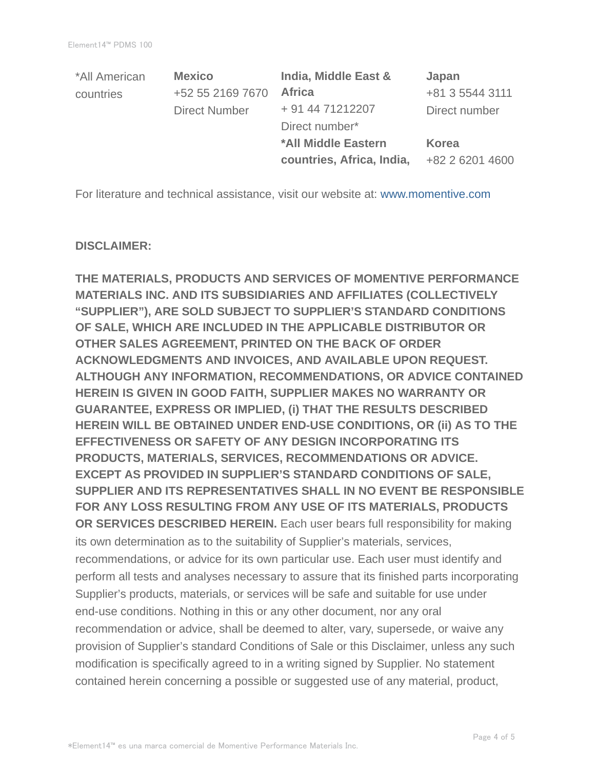| *All American | <b>Mexico</b>        | India, Middle East &      | Japan           |  |
|---------------|----------------------|---------------------------|-----------------|--|
| countries     | +52 55 2169 7670     | <b>Africa</b>             | +81 3 5544 3111 |  |
|               | <b>Direct Number</b> | + 91 44 71212207          | Direct number   |  |
|               |                      | Direct number*            |                 |  |
|               |                      | *All Middle Eastern       | Korea           |  |
|               |                      | countries, Africa, India, | +82 2 6201 4600 |  |

For literature and technical assistance, visit our website at: www.momentive.com

#### **DISCLAIMER:**

**THE MATERIALS, PRODUCTS AND SERVICES OF MOMENTIVE PERFORMANCE MATERIALS INC. AND ITS SUBSIDIARIES AND AFFILIATES (COLLECTIVELY "SUPPLIER"), ARE SOLD SUBJECT TO SUPPLIER'S STANDARD CONDITIONS OF SALE, WHICH ARE INCLUDED IN THE APPLICABLE DISTRIBUTOR OR OTHER SALES AGREEMENT, PRINTED ON THE BACK OF ORDER ACKNOWLEDGMENTS AND INVOICES, AND AVAILABLE UPON REQUEST. ALTHOUGH ANY INFORMATION, RECOMMENDATIONS, OR ADVICE CONTAINED HEREIN IS GIVEN IN GOOD FAITH, SUPPLIER MAKES NO WARRANTY OR GUARANTEE, EXPRESS OR IMPLIED, (i) THAT THE RESULTS DESCRIBED HEREIN WILL BE OBTAINED UNDER END-USE CONDITIONS, OR (ii) AS TO THE EFFECTIVENESS OR SAFETY OF ANY DESIGN INCORPORATING ITS PRODUCTS, MATERIALS, SERVICES, RECOMMENDATIONS OR ADVICE. EXCEPT AS PROVIDED IN SUPPLIER'S STANDARD CONDITIONS OF SALE, SUPPLIER AND ITS REPRESENTATIVES SHALL IN NO EVENT BE RESPONSIBLE FOR ANY LOSS RESULTING FROM ANY USE OF ITS MATERIALS, PRODUCTS OR SERVICES DESCRIBED HEREIN.** Each user bears full responsibility for making its own determination as to the suitability of Supplier's materials, services, recommendations, or advice for its own particular use. Each user must identify and perform all tests and analyses necessary to assure that its finished parts incorporating Supplier's products, materials, or services will be safe and suitable for use under end-use conditions. Nothing in this or any other document, nor any oral recommendation or advice, shall be deemed to alter, vary, supersede, or waive any provision of Supplier's standard Conditions of Sale or this Disclaimer, unless any such modification is specifically agreed to in a writing signed by Supplier. No statement contained herein concerning a possible or suggested use of any material, product,